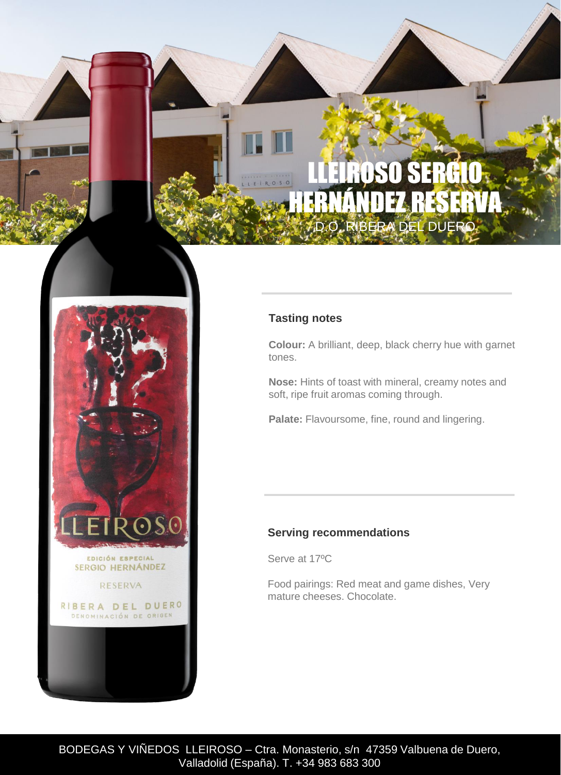## DSO SERGIO HERNÁNDEZ RESERVA BERA DEL DI



#### **Tasting notes**

**Colour:** A brilliant, deep, black cherry hue with garnet tones.

**Nose:** Hints of toast with mineral, creamy notes and soft, ripe fruit aromas coming through.

Palate: Flavoursome, fine, round and lingering.

#### **Serving recommendations**

Serve at 17ºC

Food pairings: Red meat and game dishes, Very mature cheeses. Chocolate.